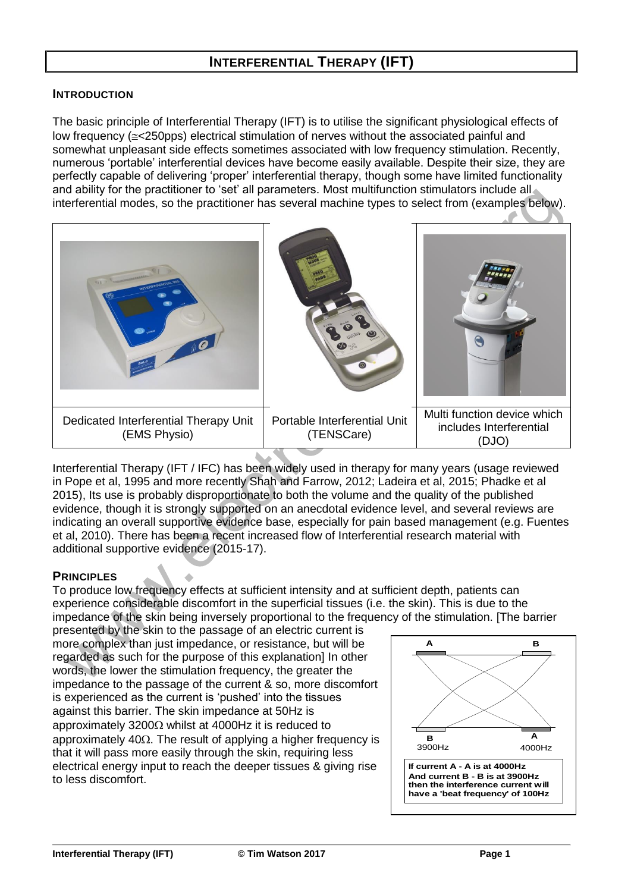# **INTERFERENTIAL THERAPY (IFT)**

#### **INTRODUCTION**

The basic principle of Interferential Therapy (IFT) is to utilise the significant physiological effects of low frequency ( $\le$ <250pps) electrical stimulation of nerves without the associated painful and somewhat unpleasant side effects sometimes associated with low frequency stimulation. Recently, numerous 'portable' interferential devices have become easily available. Despite their size, they are perfectly capable of delivering 'proper' interferential therapy, though some have limited functionality and ability for the practitioner to 'set' all parameters. Most multifunction stimulators include all interferential modes, so the practitioner has several machine types to select from (examples below).



Interferential Therapy (IFT / IFC) has been widely used in therapy for many years (usage reviewed in Pope et al, 1995 and more recently Shah and Farrow, 2012; Ladeira et al, 2015; Phadke et al 2015), Its use is probably disproportionate to both the volume and the quality of the published evidence, though it is strongly supported on an anecdotal evidence level, and several reviews are indicating an overall supportive evidence base, especially for pain based management (e.g. Fuentes et al, 2010). There has been a recent increased flow of Interferential research material with additional supportive evidence (2015-17).

## **PRINCIPLES**

To produce low frequency effects at sufficient intensity and at sufficient depth, patients can experience considerable discomfort in the superficial tissues (i.e. the skin). This is due to the impedance of the skin being inversely proportional to the frequency of the stimulation. [The barrier

presented by the skin to the passage of an electric current is more complex than just impedance, or resistance, but will be regarded as such for the purpose of this explanation] In other words, the lower the stimulation frequency, the greater the impedance to the passage of the current & so, more discomfort is experienced as the current is 'pushed' into the tissues against this barrier. The skin impedance at 50Hz is approximately 3200 $\Omega$  whilst at 4000Hz it is reduced to approximately 40 $\Omega$ . The result of applying a higher frequency is that it will pass more easily through the skin, requiring less electrical energy input to reach the deeper tissues & giving rise to less discomfort.

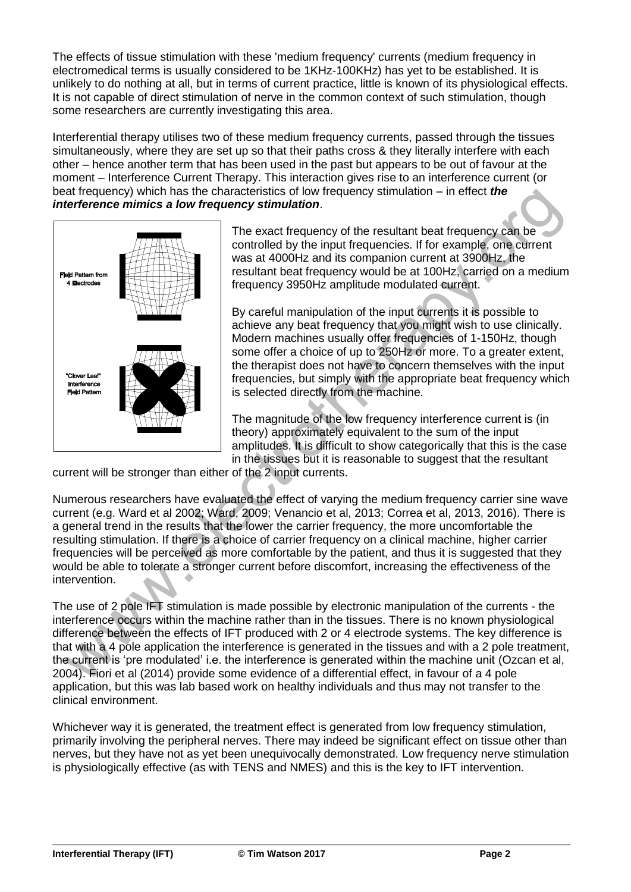The effects of tissue stimulation with these 'medium frequency' currents (medium frequency in electromedical terms is usually considered to be 1KHz-100KHz) has yet to be established. It is unlikely to do nothing at all, but in terms of current practice, little is known of its physiological effects. It is not capable of direct stimulation of nerve in the common context of such stimulation, though some researchers are currently investigating this area.

Interferential therapy utilises two of these medium frequency currents, passed through the tissues simultaneously, where they are set up so that their paths cross & they literally interfere with each other – hence another term that has been used in the past but appears to be out of favour at the moment – Interference Current Therapy. This interaction gives rise to an interference current (or beat frequency) which has the characteristics of low frequency stimulation – in effect *the interference mimics a low frequency stimulation*.



The exact frequency of the resultant beat frequency can be controlled by the input frequencies. If for example, one current was at 4000Hz and its companion current at 3900Hz, the resultant beat frequency would be at 100Hz, carried on a medium frequency 3950Hz amplitude modulated current.

By careful manipulation of the input currents it is possible to achieve any beat frequency that you might wish to use clinically. Modern machines usually offer frequencies of 1-150Hz, though some offer a choice of up to 250Hz or more. To a greater extent, the therapist does not have to concern themselves with the input frequencies, but simply with the appropriate beat frequency which is selected directly from the machine.

The magnitude of the low frequency interference current is (in theory) approximately equivalent to the sum of the input amplitudes. It is difficult to show categorically that this is the case in the tissues but it is reasonable to suggest that the resultant

current will be stronger than either of the 2 input currents.

Numerous researchers have evaluated the effect of varying the medium frequency carrier sine wave current (e.g. Ward et al 2002; Ward, 2009; Venancio et al, 2013; Correa et al, 2013, 2016). There is a general trend in the results that the lower the carrier frequency, the more uncomfortable the resulting stimulation. If there is a choice of carrier frequency on a clinical machine, higher carrier frequencies will be perceived as more comfortable by the patient, and thus it is suggested that they would be able to tolerate a stronger current before discomfort, increasing the effectiveness of the intervention.

The use of 2 pole IFT stimulation is made possible by electronic manipulation of the currents - the interference occurs within the machine rather than in the tissues. There is no known physiological difference between the effects of IFT produced with 2 or 4 electrode systems. The key difference is that with a 4 pole application the interference is generated in the tissues and with a 2 pole treatment, the current is 'pre modulated' i.e. the interference is generated within the machine unit (Ozcan et al, 2004). Fiori et al (2014) provide some evidence of a differential effect, in favour of a 4 pole application, but this was lab based work on healthy individuals and thus may not transfer to the clinical environment.

Whichever way it is generated, the treatment effect is generated from low frequency stimulation, primarily involving the peripheral nerves. There may indeed be significant effect on tissue other than nerves, but they have not as yet been unequivocally demonstrated. Low frequency nerve stimulation is physiologically effective (as with TENS and NMES) and this is the key to IFT intervention.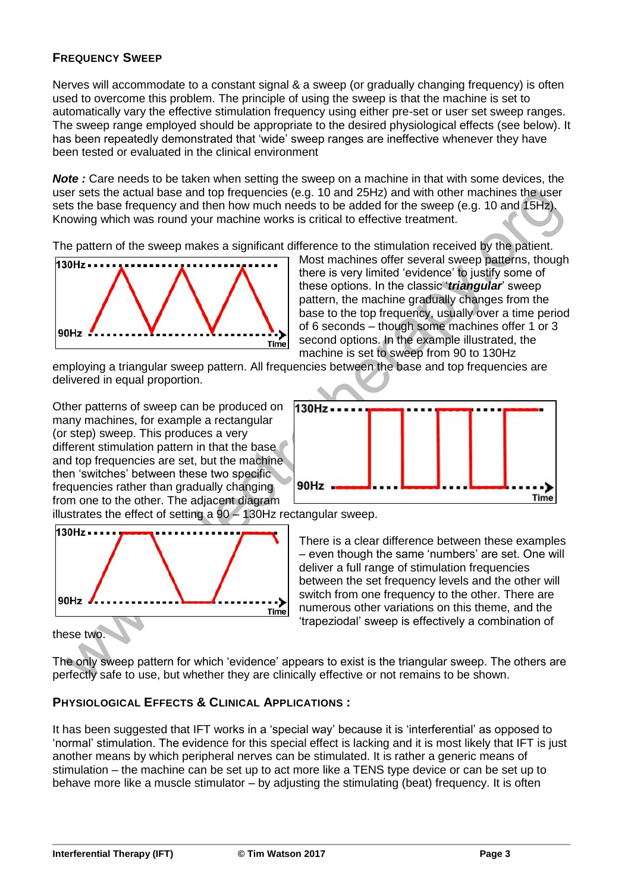## **FREQUENCY SWEEP**

Nerves will accommodate to a constant signal & a sweep (or gradually changing frequency) is often used to overcome this problem. The principle of using the sweep is that the machine is set to automatically vary the effective stimulation frequency using either pre-set or user set sweep ranges. The sweep range employed should be appropriate to the desired physiological effects (see below). It has been repeatedly demonstrated that 'wide' sweep ranges are ineffective whenever they have been tested or evaluated in the clinical environment

**Note**: Care needs to be taken when setting the sweep on a machine in that with some devices, the user sets the actual base and top frequencies (e.g. 10 and 25Hz) and with other machines the user sets the base frequency and then how much needs to be added for the sweep (e.g. 10 and 15Hz). Knowing which was round your machine works is critical to effective treatment.

The pattern of the sweep makes a significant difference to the stimulation received by the patient.



Most machines offer several sweep patterns, though there is very limited 'evidence' to justify some of these options. In the classic '*triangular*' sweep pattern, the machine gradually changes from the base to the top frequency, usually over a time period of 6 seconds – though some machines offer 1 or 3 second options. In the example illustrated, the machine is set to sweep from 90 to 130Hz

employing a triangular sweep pattern. All frequencies between the base and top frequencies are delivered in equal proportion.

Other patterns of sweep can be produced on many machines, for example a rectangular (or step) sweep. This produces a very different stimulation pattern in that the base and top frequencies are set, but the machine then 'switches' between these two specific frequencies rather than gradually changing from one to the other. The adjacent diagram



illustrates the effect of setting a 90 – 130Hz rectangular sweep.



There is a clear difference between these examples – even though the same 'numbers' are set. One will deliver a full range of stimulation frequencies between the set frequency levels and the other will switch from one frequency to the other. There are numerous other variations on this theme, and the 'trapeziodal' sweep is effectively a combination of

these two.

The only sweep pattern for which 'evidence' appears to exist is the triangular sweep. The others are perfectly safe to use, but whether they are clinically effective or not remains to be shown.

## **PHYSIOLOGICAL EFFECTS & CLINICAL APPLICATIONS :**

It has been suggested that IFT works in a 'special way' because it is 'interferential' as opposed to 'normal' stimulation. The evidence for this special effect is lacking and it is most likely that IFT is just another means by which peripheral nerves can be stimulated. It is rather a generic means of stimulation – the machine can be set up to act more like a TENS type device or can be set up to behave more like a muscle stimulator – by adjusting the stimulating (beat) frequency. It is often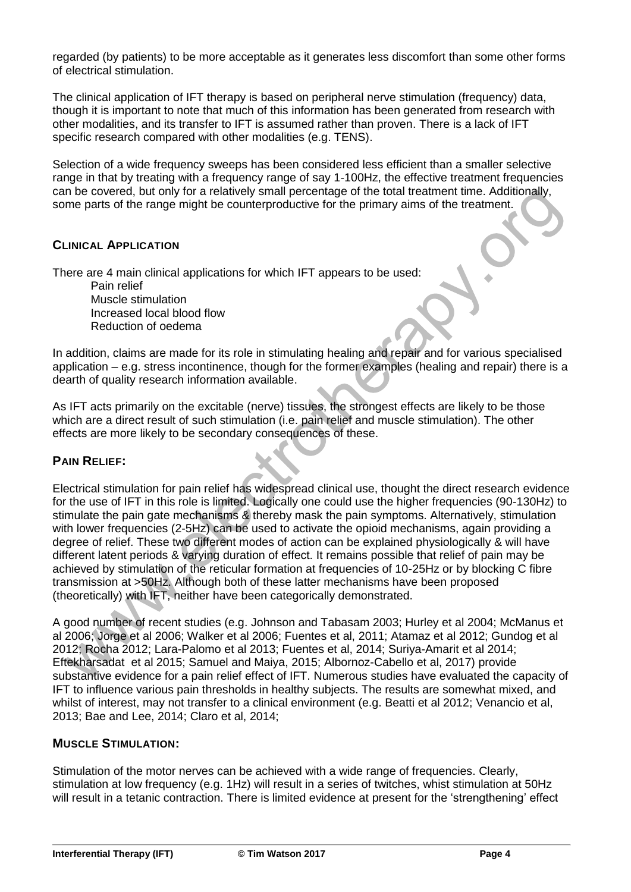regarded (by patients) to be more acceptable as it generates less discomfort than some other forms of electrical stimulation.

The clinical application of IFT therapy is based on peripheral nerve stimulation (frequency) data, though it is important to note that much of this information has been generated from research with other modalities, and its transfer to IFT is assumed rather than proven. There is a lack of IFT specific research compared with other modalities (e.g. TENS).

Selection of a wide frequency sweeps has been considered less efficient than a smaller selective range in that by treating with a frequency range of say 1-100Hz, the effective treatment frequencies can be covered, but only for a relatively small percentage of the total treatment time. Additionally, some parts of the range might be counterproductive for the primary aims of the treatment.

## **CLINICAL APPLICATION**

There are 4 main clinical applications for which IFT appears to be used:

Pain relief Muscle stimulation Increased local blood flow Reduction of oedema

In addition, claims are made for its role in stimulating healing and repair and for various specialised application – e.g. stress incontinence, though for the former examples (healing and repair) there is a dearth of quality research information available.

As IFT acts primarily on the excitable (nerve) tissues, the strongest effects are likely to be those which are a direct result of such stimulation (i.e. pain relief and muscle stimulation). The other effects are more likely to be secondary consequences of these.

## **PAIN RELIEF:**

Electrical stimulation for pain relief has widespread clinical use, thought the direct research evidence for the use of IFT in this role is limited. Logically one could use the higher frequencies (90-130Hz) to stimulate the pain gate mechanisms & thereby mask the pain symptoms. Alternatively, stimulation with lower frequencies (2-5Hz) can be used to activate the opioid mechanisms, again providing a degree of relief. These two different modes of action can be explained physiologically & will have different latent periods & varying duration of effect. It remains possible that relief of pain may be achieved by stimulation of the reticular formation at frequencies of 10-25Hz or by blocking C fibre transmission at >50Hz. Although both of these latter mechanisms have been proposed (theoretically) with IFT, neither have been categorically demonstrated.

A good number of recent studies (e.g. Johnson and Tabasam 2003; Hurley et al 2004; McManus et al 2006; Jorge et al 2006; Walker et al 2006; Fuentes et al, 2011; Atamaz et al 2012; Gundog et al 2012; Rocha 2012; Lara-Palomo et al 2013; Fuentes et al, 2014; Suriya-Amarit et al 2014; Eftekharsadat et al 2015; Samuel and Maiya, 2015; Albornoz-Cabello et al, 2017) provide substantive evidence for a pain relief effect of IFT. Numerous studies have evaluated the capacity of IFT to influence various pain thresholds in healthy subjects. The results are somewhat mixed, and whilst of interest, may not transfer to a clinical environment (e.g. Beatti et al 2012; Venancio et al, 2013; Bae and Lee, 2014; Claro et al, 2014;

#### **MUSCLE STIMULATION:**

Stimulation of the motor nerves can be achieved with a wide range of frequencies. Clearly, stimulation at low frequency (e.g. 1Hz) will result in a series of twitches, whist stimulation at 50Hz will result in a tetanic contraction. There is limited evidence at present for the 'strengthening' effect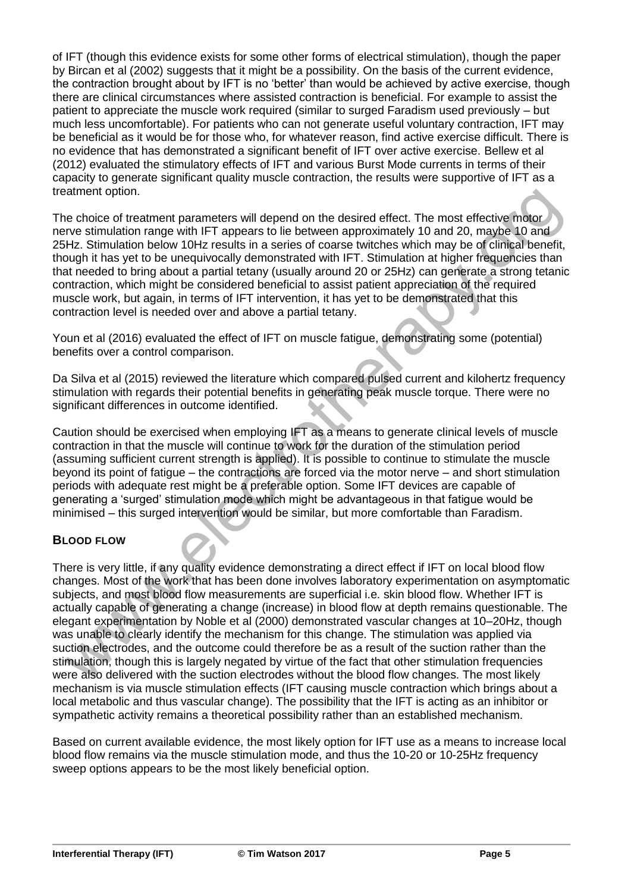of IFT (though this evidence exists for some other forms of electrical stimulation), though the paper by Bircan et al (2002) suggests that it might be a possibility. On the basis of the current evidence, the contraction brought about by IFT is no 'better' than would be achieved by active exercise, though there are clinical circumstances where assisted contraction is beneficial. For example to assist the patient to appreciate the muscle work required (similar to surged Faradism used previously – but much less uncomfortable). For patients who can not generate useful voluntary contraction, IFT may be beneficial as it would be for those who, for whatever reason, find active exercise difficult. There is no evidence that has demonstrated a significant benefit of IFT over active exercise. Bellew et al (2012) evaluated the stimulatory effects of IFT and various Burst Mode currents in terms of their capacity to generate significant quality muscle contraction, the results were supportive of IFT as a treatment option.

The choice of treatment parameters will depend on the desired effect. The most effective motor nerve stimulation range with IFT appears to lie between approximately 10 and 20, maybe 10 and 25Hz. Stimulation below 10Hz results in a series of coarse twitches which may be of clinical benefit, though it has yet to be unequivocally demonstrated with IFT. Stimulation at higher frequencies than that needed to bring about a partial tetany (usually around 20 or 25Hz) can generate a strong tetanic contraction, which might be considered beneficial to assist patient appreciation of the required muscle work, but again, in terms of IFT intervention, it has yet to be demonstrated that this contraction level is needed over and above a partial tetany.

Youn et al (2016) evaluated the effect of IFT on muscle fatigue, demonstrating some (potential) benefits over a control comparison.

Da Silva et al (2015) reviewed the literature which compared pulsed current and kilohertz frequency stimulation with regards their potential benefits in generating peak muscle torque. There were no significant differences in outcome identified.

Caution should be exercised when employing IFT as a means to generate clinical levels of muscle contraction in that the muscle will continue to work for the duration of the stimulation period (assuming sufficient current strength is applied). It is possible to continue to stimulate the muscle beyond its point of fatigue – the contractions are forced via the motor nerve – and short stimulation periods with adequate rest might be a preferable option. Some IFT devices are capable of generating a 'surged' stimulation mode which might be advantageous in that fatigue would be minimised – this surged intervention would be similar, but more comfortable than Faradism.

## **BLOOD FLOW**

There is very little, if any quality evidence demonstrating a direct effect if IFT on local blood flow changes. Most of the work that has been done involves laboratory experimentation on asymptomatic subjects, and most blood flow measurements are superficial i.e. skin blood flow. Whether IFT is actually capable of generating a change (increase) in blood flow at depth remains questionable. The elegant experimentation by Noble et al (2000) demonstrated vascular changes at 10–20Hz, though was unable to clearly identify the mechanism for this change. The stimulation was applied via suction electrodes, and the outcome could therefore be as a result of the suction rather than the stimulation, though this is largely negated by virtue of the fact that other stimulation frequencies were also delivered with the suction electrodes without the blood flow changes. The most likely mechanism is via muscle stimulation effects (IFT causing muscle contraction which brings about a local metabolic and thus vascular change). The possibility that the IFT is acting as an inhibitor or sympathetic activity remains a theoretical possibility rather than an established mechanism.

Based on current available evidence, the most likely option for IFT use as a means to increase local blood flow remains via the muscle stimulation mode, and thus the 10-20 or 10-25Hz frequency sweep options appears to be the most likely beneficial option.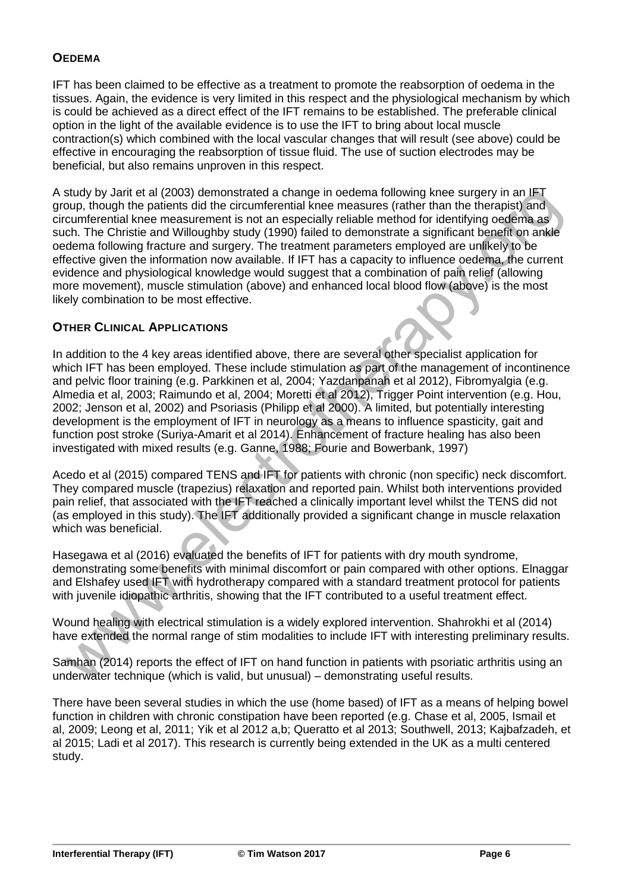#### **OEDEMA**

IFT has been claimed to be effective as a treatment to promote the reabsorption of oedema in the tissues. Again, the evidence is very limited in this respect and the physiological mechanism by which is could be achieved as a direct effect of the IFT remains to be established. The preferable clinical option in the light of the available evidence is to use the IFT to bring about local muscle contraction(s) which combined with the local vascular changes that will result (see above) could be effective in encouraging the reabsorption of tissue fluid. The use of suction electrodes may be beneficial, but also remains unproven in this respect.

A study by Jarit et al (2003) demonstrated a change in oedema following knee surgery in an IFT group, though the patients did the circumferential knee measures (rather than the therapist) and circumferential knee measurement is not an especially reliable method for identifying oedema as such. The Christie and Willoughby study (1990) failed to demonstrate a significant benefit on ankle oedema following fracture and surgery. The treatment parameters employed are unlikely to be effective given the information now available. If IFT has a capacity to influence oedema, the current evidence and physiological knowledge would suggest that a combination of pain relief (allowing more movement), muscle stimulation (above) and enhanced local blood flow (above) is the most likely combination to be most effective.

#### **OTHER CLINICAL APPLICATIONS**

In addition to the 4 key areas identified above, there are several other specialist application for which IFT has been employed. These include stimulation as part of the management of incontinence and pelvic floor training (e.g. Parkkinen et al, 2004; Yazdanpanah et al 2012), Fibromyalgia (e.g. Almedia et al, 2003; Raimundo et al, 2004; Moretti et al 2012), Trigger Point intervention (e.g. Hou, 2002; Jenson et al, 2002) and Psoriasis (Philipp et al 2000). A limited, but potentially interesting development is the employment of IFT in neurology as a means to influence spasticity, gait and function post stroke (Suriya-Amarit et al 2014). Enhancement of fracture healing has also been investigated with mixed results (e.g. Ganne, 1988; Fourie and Bowerbank, 1997)

Acedo et al (2015) compared TENS and IFT for patients with chronic (non specific) neck discomfort. They compared muscle (trapezius) relaxation and reported pain. Whilst both interventions provided pain relief, that associated with the IFT reached a clinically important level whilst the TENS did not (as employed in this study). The IFT additionally provided a significant change in muscle relaxation which was beneficial.

Hasegawa et al (2016) evaluated the benefits of IFT for patients with dry mouth syndrome, demonstrating some benefits with minimal discomfort or pain compared with other options. Elnaggar and Elshafey used IFT with hydrotherapy compared with a standard treatment protocol for patients with juvenile idiopathic arthritis, showing that the IFT contributed to a useful treatment effect.

Wound healing with electrical stimulation is a widely explored intervention. Shahrokhi et al (2014) have extended the normal range of stim modalities to include IFT with interesting preliminary results.

Samhan (2014) reports the effect of IFT on hand function in patients with psoriatic arthritis using an underwater technique (which is valid, but unusual) – demonstrating useful results.

There have been several studies in which the use (home based) of IFT as a means of helping bowel function in children with chronic constipation have been reported (e.g. Chase et al, 2005, Ismail et al, 2009; Leong et al, 2011; Yik et al 2012 a,b; Queratto et al 2013; Southwell, 2013; Kajbafzadeh, et al 2015; Ladi et al 2017). This research is currently being extended in the UK as a multi centered study.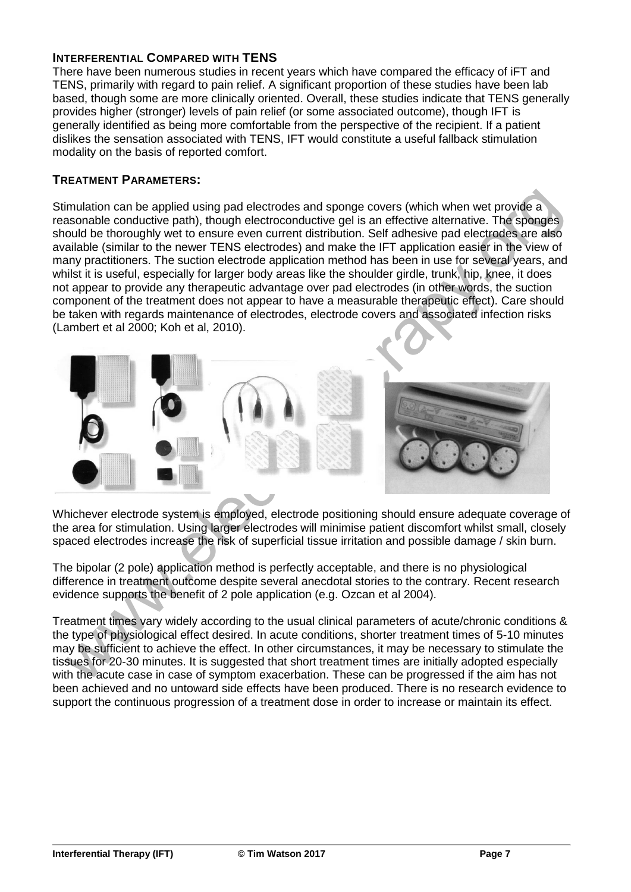#### **INTERFERENTIAL COMPARED WITH TENS**

There have been numerous studies in recent years which have compared the efficacy of iFT and TENS, primarily with regard to pain relief. A significant proportion of these studies have been lab based, though some are more clinically oriented. Overall, these studies indicate that TENS generally provides higher (stronger) levels of pain relief (or some associated outcome), though IFT is generally identified as being more comfortable from the perspective of the recipient. If a patient dislikes the sensation associated with TENS, IFT would constitute a useful fallback stimulation modality on the basis of reported comfort.

#### **TREATMENT PARAMETERS:**

Stimulation can be applied using pad electrodes and sponge covers (which when wet provide a reasonable conductive path), though electroconductive gel is an effective alternative. The sponges should be thoroughly wet to ensure even current distribution. Self adhesive pad electrodes are also available (similar to the newer TENS electrodes) and make the IFT application easier in the view of many practitioners. The suction electrode application method has been in use for several years, and whilst it is useful, especially for larger body areas like the shoulder girdle, trunk, hip, knee, it does not appear to provide any therapeutic advantage over pad electrodes (in other words, the suction component of the treatment does not appear to have a measurable therapeutic effect). Care should be taken with regards maintenance of electrodes, electrode covers and associated infection risks (Lambert et al 2000; Koh et al, 2010).



Whichever electrode system is employed, electrode positioning should ensure adequate coverage of the area for stimulation. Using larger electrodes will minimise patient discomfort whilst small, closely spaced electrodes increase the risk of superficial tissue irritation and possible damage / skin burn.

The bipolar (2 pole) application method is perfectly acceptable, and there is no physiological difference in treatment outcome despite several anecdotal stories to the contrary. Recent research evidence supports the benefit of 2 pole application (e.g. Ozcan et al 2004).

Treatment times vary widely according to the usual clinical parameters of acute/chronic conditions & the type of physiological effect desired. In acute conditions, shorter treatment times of 5-10 minutes may be sufficient to achieve the effect. In other circumstances, it may be necessary to stimulate the tissues for 20-30 minutes. It is suggested that short treatment times are initially adopted especially with the acute case in case of symptom exacerbation. These can be progressed if the aim has not been achieved and no untoward side effects have been produced. There is no research evidence to support the continuous progression of a treatment dose in order to increase or maintain its effect.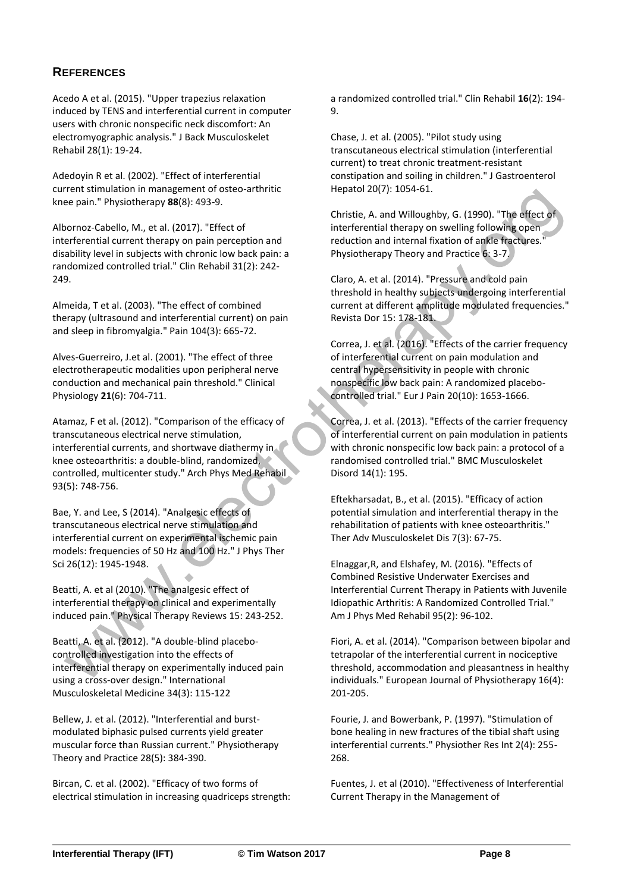#### **REFERENCES**

Acedo A et al. (2015). "Upper trapezius relaxation induced by TENS and interferential current in computer users with chronic nonspecific neck discomfort: An electromyographic analysis." J Back Musculoskelet Rehabil 28(1): 19-24.

Adedoyin R et al. (2002). "Effect of interferential current stimulation in management of osteo-arthritic knee pain." Physiotherapy **88**(8): 493-9.

Albornoz-Cabello, M., et al. (2017). "Effect of interferential current therapy on pain perception and disability level in subjects with chronic low back pain: a randomized controlled trial." Clin Rehabil 31(2): 242- 249.

Almeida, T et al. (2003). "The effect of combined therapy (ultrasound and interferential current) on pain and sleep in fibromyalgia." Pain 104(3): 665-72.

Alves-Guerreiro, J.et al. (2001). "The effect of three electrotherapeutic modalities upon peripheral nerve conduction and mechanical pain threshold." Clinical Physiology **21**(6): 704-711.

Atamaz, F et al. (2012). "Comparison of the efficacy of transcutaneous electrical nerve stimulation, interferential currents, and shortwave diathermy in knee osteoarthritis: a double-blind, randomized, controlled, multicenter study." Arch Phys Med Rehabil 93(5): 748-756.

Bae, Y. and Lee, S (2014). "Analgesic effects of transcutaneous electrical nerve stimulation and interferential current on experimental ischemic pain models: frequencies of 50 Hz and 100 Hz." J Phys Ther Sci 26(12): 1945-1948.

Beatti, A. et al (2010). "The analgesic effect of interferential therapy on clinical and experimentally induced pain." Physical Therapy Reviews 15: 243-252.

Beatti, A. et al. (2012). "A double-blind placebocontrolled investigation into the effects of interferential therapy on experimentally induced pain using a cross-over design." International Musculoskeletal Medicine 34(3): 115-122

Bellew, J. et al. (2012). "Interferential and burstmodulated biphasic pulsed currents yield greater muscular force than Russian current." Physiotherapy Theory and Practice 28(5): 384-390.

Bircan, C. et al. (2002). "Efficacy of two forms of electrical stimulation in increasing quadriceps strength: a randomized controlled trial." Clin Rehabil **16**(2): 194- 9.

Chase, J. et al. (2005). "Pilot study using transcutaneous electrical stimulation (interferential current) to treat chronic treatment-resistant constipation and soiling in children." J Gastroenterol Hepatol 20(7): 1054-61.

Christie, A. and Willoughby, G. (1990). "The effect of interferential therapy on swelling following open reduction and internal fixation of ankle fractures." Physiotherapy Theory and Practice 6: 3-7.

Claro, A. et al. (2014). "Pressure and cold pain threshold in healthy subjects undergoing interferential current at different amplitude modulated frequencies." Revista Dor 15: 178-181.

Correa, J. et al. (2016). "Effects of the carrier frequency of interferential current on pain modulation and central hypersensitivity in people with chronic nonspecific low back pain: A randomized placebocontrolled trial." Eur J Pain 20(10): 1653-1666.

Correa, J. et al. (2013). "Effects of the carrier frequency of interferential current on pain modulation in patients with chronic nonspecific low back pain: a protocol of a randomised controlled trial." BMC Musculoskelet Disord 14(1): 195.

Eftekharsadat, B., et al. (2015). "Efficacy of action potential simulation and interferential therapy in the rehabilitation of patients with knee osteoarthritis." Ther Adv Musculoskelet Dis 7(3): 67-75.

Elnaggar,R, and Elshafey, M. (2016). "Effects of Combined Resistive Underwater Exercises and Interferential Current Therapy in Patients with Juvenile Idiopathic Arthritis: A Randomized Controlled Trial." Am J Phys Med Rehabil 95(2): 96-102.

Fiori, A. et al. (2014). "Comparison between bipolar and tetrapolar of the interferential current in nociceptive threshold, accommodation and pleasantness in healthy individuals." European Journal of Physiotherapy 16(4): 201-205.

Fourie, J. and Bowerbank, P. (1997). "Stimulation of bone healing in new fractures of the tibial shaft using interferential currents." Physiother Res Int 2(4): 255- 268.

Fuentes, J. et al (2010). "Effectiveness of Interferential Current Therapy in the Management of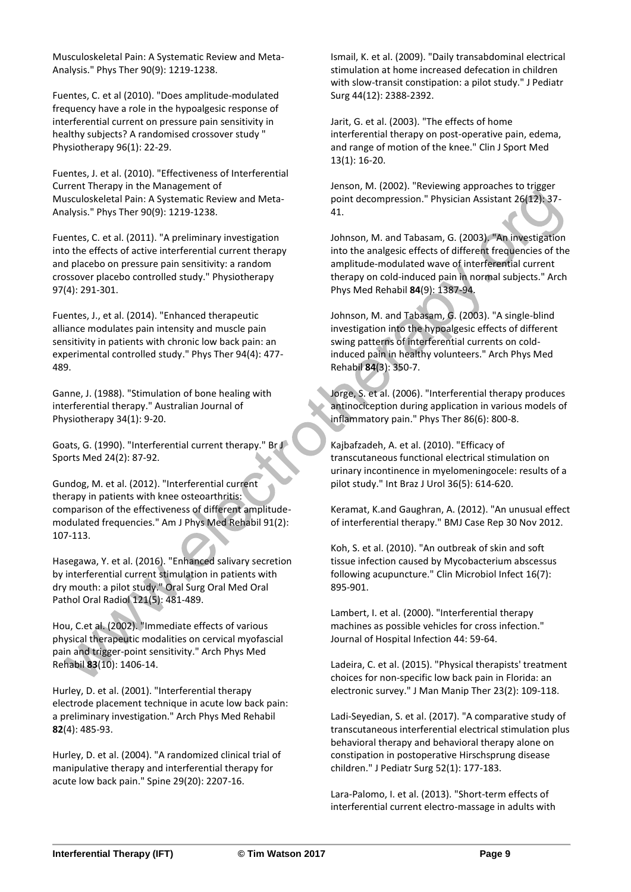Musculoskeletal Pain: A Systematic Review and Meta-Analysis." Phys Ther 90(9): 1219-1238.

Fuentes, C. et al (2010). "Does amplitude-modulated frequency have a role in the hypoalgesic response of interferential current on pressure pain sensitivity in healthy subjects? A randomised crossover study " Physiotherapy 96(1): 22-29.

Fuentes, J. et al. (2010). "Effectiveness of Interferential Current Therapy in the Management of Musculoskeletal Pain: A Systematic Review and Meta-Analysis." Phys Ther 90(9): 1219-1238.

Fuentes, C. et al. (2011). "A preliminary investigation into the effects of active interferential current therapy and placebo on pressure pain sensitivity: a random crossover placebo controlled study." Physiotherapy 97(4): 291-301.

Fuentes, J., et al. (2014). "Enhanced therapeutic alliance modulates pain intensity and muscle pain sensitivity in patients with chronic low back pain: an experimental controlled study." Phys Ther 94(4): 477- 489.

Ganne, J. (1988). "Stimulation of bone healing with interferential therapy." Australian Journal of Physiotherapy 34(1): 9-20.

Goats, G. (1990). "Interferential current therapy." Br J Sports Med 24(2): 87-92.

Gundog, M. et al. (2012). "Interferential current therapy in patients with knee osteoarthritis: comparison of the effectiveness of different amplitudemodulated frequencies." Am J Phys Med Rehabil 91(2): 107-113.

Hasegawa, Y. et al. (2016). "Enhanced salivary secretion by interferential current stimulation in patients with dry mouth: a pilot study." Oral Surg Oral Med Oral Pathol Oral Radiol 121(5): 481-489.

Hou, C.et al. (2002). "Immediate effects of various physical therapeutic modalities on cervical myofascial pain and trigger-point sensitivity." Arch Phys Med Rehabil **83**(10): 1406-14.

Hurley, D. et al. (2001). "Interferential therapy electrode placement technique in acute low back pain: a preliminary investigation." Arch Phys Med Rehabil **82**(4): 485-93.

Hurley, D. et al. (2004). "A randomized clinical trial of manipulative therapy and interferential therapy for acute low back pain." Spine 29(20): 2207-16.

Ismail, K. et al. (2009). "Daily transabdominal electrical stimulation at home increased defecation in children with slow-transit constipation: a pilot study." J Pediatr Surg 44(12): 2388-2392.

Jarit, G. et al. (2003). "The effects of home interferential therapy on post-operative pain, edema, and range of motion of the knee." Clin J Sport Med 13(1): 16-20.

Jenson, M. (2002). "Reviewing approaches to trigger point decompression." Physician Assistant 26(12): 37- 41.

Johnson, M. and Tabasam, G. (2003). "An investigation into the analgesic effects of different frequencies of the amplitude-modulated wave of interferential current therapy on cold-induced pain in normal subjects." Arch Phys Med Rehabil **84**(9): 1387-94.

Johnson, M. and Tabasam, G. (2003). "A single-blind investigation into the hypoalgesic effects of different swing patterns of interferential currents on coldinduced pain in healthy volunteers." Arch Phys Med Rehabil **84**(3): 350-7.

Jorge, S. et al. (2006). "Interferential therapy produces antinociception during application in various models of inflammatory pain." Phys Ther 86(6): 800-8.

Kajbafzadeh, A. et al. (2010). "Efficacy of transcutaneous functional electrical stimulation on urinary incontinence in myelomeningocele: results of a pilot study." Int Braz J Urol 36(5): 614-620.

Keramat, K.and Gaughran, A. (2012). "An unusual effect of interferential therapy." BMJ Case Rep 30 Nov 2012.

Koh, S. et al. (2010). "An outbreak of skin and soft tissue infection caused by Mycobacterium abscessus following acupuncture." Clin Microbiol Infect 16(7): 895-901.

Lambert, I. et al. (2000). "Interferential therapy machines as possible vehicles for cross infection." Journal of Hospital Infection 44: 59-64.

Ladeira, C. et al. (2015). "Physical therapists' treatment choices for non-specific low back pain in Florida: an electronic survey." J Man Manip Ther 23(2): 109-118.

Ladi-Seyedian, S. et al. (2017). "A comparative study of transcutaneous interferential electrical stimulation plus behavioral therapy and behavioral therapy alone on constipation in postoperative Hirschsprung disease children." J Pediatr Surg 52(1): 177-183.

Lara-Palomo, I. et al. (2013). "Short-term effects of interferential current electro-massage in adults with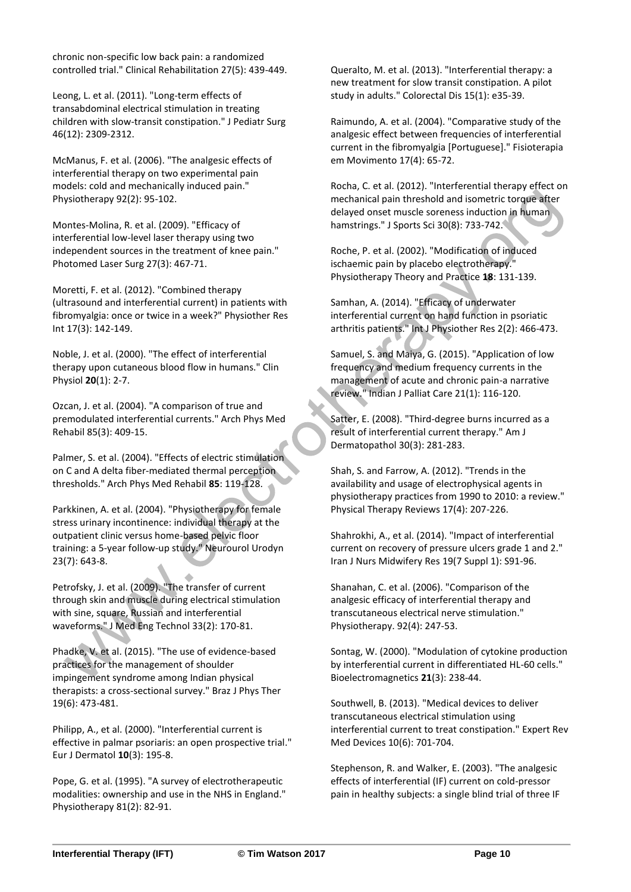chronic non-specific low back pain: a randomized controlled trial." Clinical Rehabilitation 27(5): 439-449.

Leong, L. et al. (2011). "Long-term effects of transabdominal electrical stimulation in treating children with slow-transit constipation." J Pediatr Surg 46(12): 2309-2312.

McManus, F. et al. (2006). "The analgesic effects of interferential therapy on two experimental pain models: cold and mechanically induced pain." Physiotherapy 92(2): 95-102.

Montes-Molina, R. et al. (2009). "Efficacy of interferential low-level laser therapy using two independent sources in the treatment of knee pain." Photomed Laser Surg 27(3): 467-71.

Moretti, F. et al. (2012). "Combined therapy (ultrasound and interferential current) in patients with fibromyalgia: once or twice in a week?" Physiother Res Int 17(3): 142-149.

Noble, J. et al. (2000). "The effect of interferential therapy upon cutaneous blood flow in humans." Clin Physiol **20**(1): 2-7.

Ozcan, J. et al. (2004). "A comparison of true and premodulated interferential currents." Arch Phys Med Rehabil 85(3): 409-15.

Palmer, S. et al. (2004). "Effects of electric stimulation on C and A delta fiber-mediated thermal perception thresholds." Arch Phys Med Rehabil **85**: 119-128.

Parkkinen, A. et al. (2004). "Physiotherapy for female stress urinary incontinence: individual therapy at the outpatient clinic versus home-based pelvic floor training: a 5-year follow-up study." Neurourol Urodyn 23(7): 643-8.

Petrofsky, J. et al. (2009). "The transfer of current through skin and muscle during electrical stimulation with sine, square, Russian and interferential waveforms." J Med Eng Technol 33(2): 170-81.

Phadke, V. et al. (2015). "The use of evidence-based practices for the management of shoulder impingement syndrome among Indian physical therapists: a cross-sectional survey." Braz J Phys Ther 19(6): 473-481.

Philipp, A., et al. (2000). "Interferential current is effective in palmar psoriaris: an open prospective trial." Eur J Dermatol **10**(3): 195-8.

Pope, G. et al. (1995). "A survey of electrotherapeutic modalities: ownership and use in the NHS in England." Physiotherapy 81(2): 82-91.

Queralto, M. et al. (2013). "Interferential therapy: a new treatment for slow transit constipation. A pilot study in adults." Colorectal Dis 15(1): e35-39.

Raimundo, A. et al. (2004). "Comparative study of the analgesic effect between frequencies of interferential current in the fibromyalgia [Portuguese]." Fisioterapia em Movimento 17(4): 65-72.

Rocha, C. et al. (2012). "Interferential therapy effect on mechanical pain threshold and isometric torque after delayed onset muscle soreness induction in human hamstrings." J Sports Sci 30(8): 733-742.

Roche, P. et al. (2002). "Modification of induced ischaemic pain by placebo electrotherapy." Physiotherapy Theory and Practice **18**: 131-139.

Samhan, A. (2014). "Efficacy of underwater interferential current on hand function in psoriatic arthritis patients." Int J Physiother Res 2(2): 466-473.

Samuel, S. and Maiya, G. (2015). "Application of low frequency and medium frequency currents in the management of acute and chronic pain-a narrative review." Indian J Palliat Care 21(1): 116-120.

Satter, E. (2008). "Third-degree burns incurred as a result of interferential current therapy." Am J Dermatopathol 30(3): 281-283.

Shah, S. and Farrow, A. (2012). "Trends in the availability and usage of electrophysical agents in physiotherapy practices from 1990 to 2010: a review." Physical Therapy Reviews 17(4): 207-226.

Shahrokhi, A., et al. (2014). "Impact of interferential current on recovery of pressure ulcers grade 1 and 2." Iran J Nurs Midwifery Res 19(7 Suppl 1): S91-96.

Shanahan, C. et al. (2006). "Comparison of the analgesic efficacy of interferential therapy and transcutaneous electrical nerve stimulation." Physiotherapy. 92(4): 247-53.

Sontag, W. (2000). "Modulation of cytokine production by interferential current in differentiated HL-60 cells." Bioelectromagnetics **21**(3): 238-44.

Southwell, B. (2013). "Medical devices to deliver transcutaneous electrical stimulation using interferential current to treat constipation." Expert Rev Med Devices 10(6): 701-704.

Stephenson, R. and Walker, E. (2003). "The analgesic effects of interferential (IF) current on cold-pressor pain in healthy subjects: a single blind trial of three IF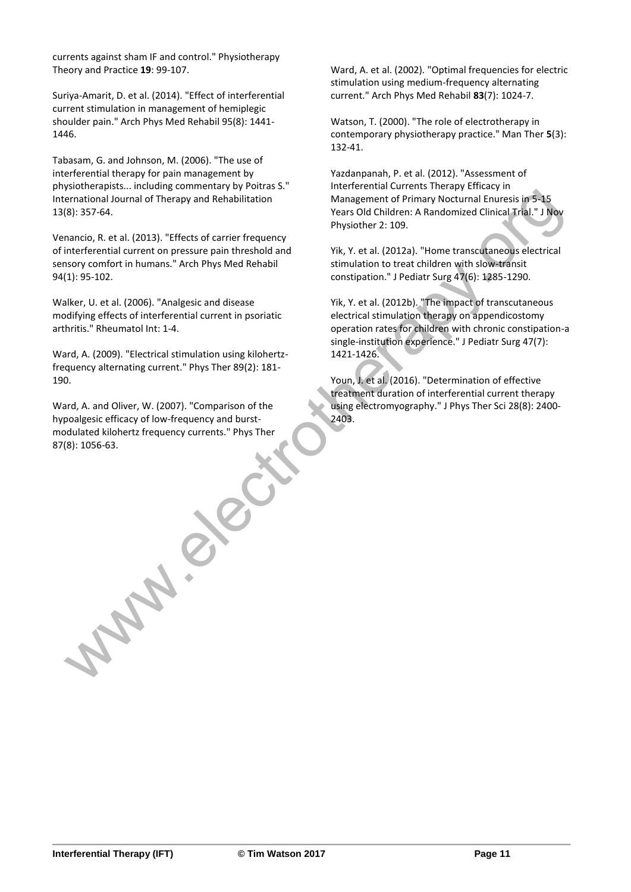currents against sham IF and control." Physiotherapy Theory and Practice **19**: 99-107.

Suriya-Amarit, D. et al. (2014). "Effect of interferential current stimulation in management of hemiplegic shoulder pain." Arch Phys Med Rehabil 95(8): 1441- 1446.

Tabasam, G. and Johnson, M. (2006). "The use of interferential therapy for pain management by physiotherapists... including commentary by Poitras S." International Journal of Therapy and Rehabilitation 13(8): 357-64.

Venancio, R. et al. (2013). "Effects of carrier frequency of interferential current on pressure pain threshold and sensory comfort in humans." Arch Phys Med Rehabil 94(1): 95-102.

Walker, U. et al. (2006). "Analgesic and disease modifying effects of interferential current in psoriatic arthritis." Rheumatol Int: 1-4.

Ward, A. (2009). "Electrical stimulation using kilohertzfrequency alternating current." Phys Ther 89(2): 181- 190.

Ward, A. and Oliver, W. (2007). "Comparison of the hypoalgesic efficacy of low-frequency and burstmodulated kilohertz frequency currents." Phys Ther 87(8): 1056-63.

**PARTICA** 

Ward, A. et al. (2002). "Optimal frequencies for electric stimulation using medium-frequency alternating current." Arch Phys Med Rehabil **83**(7): 1024-7.

Watson, T. (2000). "The role of electrotherapy in contemporary physiotherapy practice." Man Ther **5**(3): 132-41.

Yazdanpanah, P. et al. (2012). "Assessment of Interferential Currents Therapy Efficacy in Management of Primary Nocturnal Enuresis in 5-15 Years Old Children: A Randomized Clinical Trial." J Nov Physiother 2: 109.

Yik, Y. et al. (2012a). "Home transcutaneous electrical stimulation to treat children with slow-transit constipation." J Pediatr Surg 47(6): 1285-1290.

Yik, Y. et al. (2012b). "The impact of transcutaneous electrical stimulation therapy on appendicostomy operation rates for children with chronic constipation-a single-institution experience." J Pediatr Surg 47(7): 1421-1426.

Youn, J. et al. (2016). "Determination of effective treatment duration of interferential current therapy using electromyography." J Phys Ther Sci 28(8): 2400- 2403.